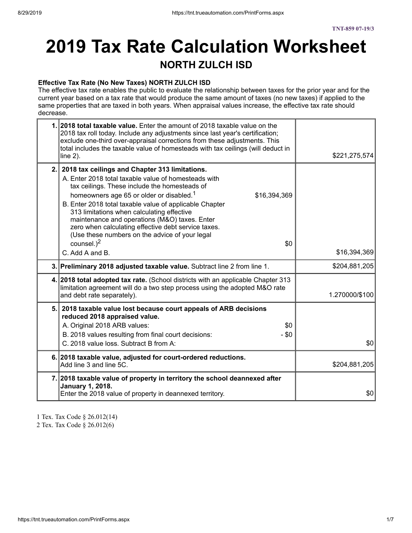# **2019 Tax Rate Calculation Worksheet NORTH ZULCH ISD**

#### **Effective Tax Rate (No New Taxes) NORTH ZULCH ISD**

The effective tax rate enables the public to evaluate the relationship between taxes for the prior year and for the current year based on a tax rate that would produce the same amount of taxes (no new taxes) if applied to the same properties that are taxed in both years. When appraisal values increase, the effective tax rate should decrease.

| 1. 2018 total taxable value. Enter the amount of 2018 taxable value on the<br>2018 tax roll today. Include any adjustments since last year's certification;<br>exclude one-third over-appraisal corrections from these adjustments. This<br>total includes the taxable value of homesteads with tax ceilings (will deduct in<br>line $2$ ).                                                                                                                                                                                                       | \$221,275,574  |
|---------------------------------------------------------------------------------------------------------------------------------------------------------------------------------------------------------------------------------------------------------------------------------------------------------------------------------------------------------------------------------------------------------------------------------------------------------------------------------------------------------------------------------------------------|----------------|
| 2. 2018 tax ceilings and Chapter 313 limitations.<br>A. Enter 2018 total taxable value of homesteads with<br>tax ceilings. These include the homesteads of<br>homeowners age 65 or older or disabled. <sup>1</sup><br>\$16,394,369<br>B. Enter 2018 total taxable value of applicable Chapter<br>313 limitations when calculating effective<br>maintenance and operations (M&O) taxes. Enter<br>zero when calculating effective debt service taxes.<br>(Use these numbers on the advice of your legal<br>counsel. $)^2$<br>\$0<br>C. Add A and B. | \$16,394,369   |
| 3. Preliminary 2018 adjusted taxable value. Subtract line 2 from line 1.                                                                                                                                                                                                                                                                                                                                                                                                                                                                          | \$204,881,205  |
|                                                                                                                                                                                                                                                                                                                                                                                                                                                                                                                                                   |                |
| 4. 2018 total adopted tax rate. (School districts with an applicable Chapter 313<br>limitation agreement will do a two step process using the adopted M&O rate<br>and debt rate separately).                                                                                                                                                                                                                                                                                                                                                      | 1.270000/\$100 |
| 5. 2018 taxable value lost because court appeals of ARB decisions<br>reduced 2018 appraised value.<br>A. Original 2018 ARB values:<br>\$0<br>B. 2018 values resulting from final court decisions:<br>$-$ \$0<br>C. 2018 value loss. Subtract B from A:                                                                                                                                                                                                                                                                                            | \$0            |
| 6. 2018 taxable value, adjusted for court-ordered reductions.<br>Add line 3 and line 5C.                                                                                                                                                                                                                                                                                                                                                                                                                                                          | \$204,881,205  |

1 Tex. Tax Code § 26.012(14) 2 Tex. Tax Code § 26.012(6)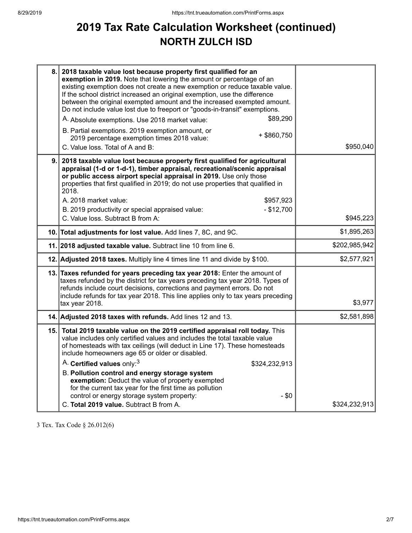## **2019 Tax Rate Calculation Worksheet (continued) NORTH ZULCH ISD**

| 8.   | 2018 taxable value lost because property first qualified for an<br>exemption in 2019. Note that lowering the amount or percentage of an<br>existing exemption does not create a new exemption or reduce taxable value.<br>If the school district increased an original exemption, use the difference<br>between the original exempted amount and the increased exempted amount.<br>Do not include value lost due to freeport or "goods-in-transit" exemptions.<br>\$89,290<br>A. Absolute exemptions. Use 2018 market value:<br>B. Partial exemptions. 2019 exemption amount, or<br>$+$ \$860,750<br>2019 percentage exemption times 2018 value:<br>C. Value loss. Total of A and B: | \$950,040     |
|------|--------------------------------------------------------------------------------------------------------------------------------------------------------------------------------------------------------------------------------------------------------------------------------------------------------------------------------------------------------------------------------------------------------------------------------------------------------------------------------------------------------------------------------------------------------------------------------------------------------------------------------------------------------------------------------------|---------------|
| 9.   | 2018 taxable value lost because property first qualified for agricultural<br>appraisal (1-d or 1-d-1), timber appraisal, recreational/scenic appraisal<br>or public access airport special appraisal in 2019. Use only those<br>properties that first qualified in 2019; do not use properties that qualified in<br>2018.<br>A. 2018 market value:<br>\$957,923<br>B. 2019 productivity or special appraised value:<br>$- $12,700$                                                                                                                                                                                                                                                   |               |
|      | C. Value loss. Subtract B from A:                                                                                                                                                                                                                                                                                                                                                                                                                                                                                                                                                                                                                                                    | \$945,223     |
|      | 10. Total adjustments for lost value. Add lines 7, 8C, and 9C.                                                                                                                                                                                                                                                                                                                                                                                                                                                                                                                                                                                                                       | \$1,895,263   |
|      | 11. 2018 adjusted taxable value. Subtract line 10 from line 6.                                                                                                                                                                                                                                                                                                                                                                                                                                                                                                                                                                                                                       | \$202,985,942 |
|      | 12. Adjusted 2018 taxes. Multiply line 4 times line 11 and divide by \$100.                                                                                                                                                                                                                                                                                                                                                                                                                                                                                                                                                                                                          | \$2,577,921   |
|      | 13. Taxes refunded for years preceding tax year 2018: Enter the amount of<br>taxes refunded by the district for tax years preceding tax year 2018. Types of<br>refunds include court decisions, corrections and payment errors. Do not<br>include refunds for tax year 2018. This line applies only to tax years preceding<br>tax year 2018.                                                                                                                                                                                                                                                                                                                                         | \$3,977       |
|      | 14. Adjusted 2018 taxes with refunds. Add lines 12 and 13.                                                                                                                                                                                                                                                                                                                                                                                                                                                                                                                                                                                                                           | \$2,581,898   |
| 15.1 | Total 2019 taxable value on the 2019 certified appraisal roll today. This<br>value includes only certified values and includes the total taxable value<br>of homesteads with tax ceilings (will deduct in Line 17). These homesteads<br>include homeowners age 65 or older or disabled.<br>A. Certified values only: <sup>3</sup><br>\$324,232,913                                                                                                                                                                                                                                                                                                                                   |               |
|      | B. Pollution control and energy storage system<br>exemption: Deduct the value of property exempted<br>for the current tax year for the first time as pollution<br>control or energy storage system property:<br>$-$ \$0<br>C. Total 2019 value. Subtract B from A.                                                                                                                                                                                                                                                                                                                                                                                                                   | \$324,232,913 |

3 Tex. Tax Code § 26.012(6)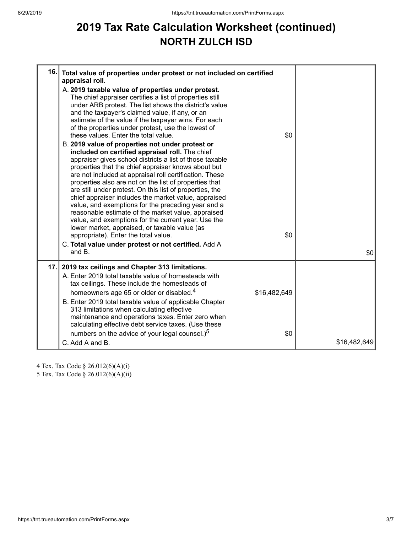## **2019 Tax Rate Calculation Worksheet (continued) NORTH ZULCH ISD**

| 16. | Total value of properties under protest or not included on certified<br>appraisal roll.<br>A. 2019 taxable value of properties under protest.<br>The chief appraiser certifies a list of properties still<br>under ARB protest. The list shows the district's value<br>and the taxpayer's claimed value, if any, or an<br>estimate of the value if the taxpayer wins. For each<br>of the properties under protest, use the lowest of<br>these values. Enter the total value.<br>B. 2019 value of properties not under protest or<br>included on certified appraisal roll. The chief<br>appraiser gives school districts a list of those taxable<br>properties that the chief appraiser knows about but<br>are not included at appraisal roll certification. These<br>properties also are not on the list of properties that<br>are still under protest. On this list of properties, the<br>chief appraiser includes the market value, appraised<br>value, and exemptions for the preceding year and a<br>reasonable estimate of the market value, appraised<br>value, and exemptions for the current year. Use the<br>lower market, appraised, or taxable value (as<br>appropriate). Enter the total value. | \$0<br>\$0 |              |
|-----|-------------------------------------------------------------------------------------------------------------------------------------------------------------------------------------------------------------------------------------------------------------------------------------------------------------------------------------------------------------------------------------------------------------------------------------------------------------------------------------------------------------------------------------------------------------------------------------------------------------------------------------------------------------------------------------------------------------------------------------------------------------------------------------------------------------------------------------------------------------------------------------------------------------------------------------------------------------------------------------------------------------------------------------------------------------------------------------------------------------------------------------------------------------------------------------------------------------|------------|--------------|
|     | C. Total value under protest or not certified. Add A<br>and B.                                                                                                                                                                                                                                                                                                                                                                                                                                                                                                                                                                                                                                                                                                                                                                                                                                                                                                                                                                                                                                                                                                                                              |            | \$0          |
| 17. | 2019 tax ceilings and Chapter 313 limitations.<br>A. Enter 2019 total taxable value of homesteads with<br>tax ceilings. These include the homesteads of<br>homeowners age 65 or older or disabled. <sup>4</sup><br>\$16,482,649<br>B. Enter 2019 total taxable value of applicable Chapter<br>313 limitations when calculating effective<br>maintenance and operations taxes. Enter zero when<br>calculating effective debt service taxes. (Use these<br>numbers on the advice of your legal counsel.) <sup>5</sup>                                                                                                                                                                                                                                                                                                                                                                                                                                                                                                                                                                                                                                                                                         | \$0        |              |
|     | C. Add A and B.                                                                                                                                                                                                                                                                                                                                                                                                                                                                                                                                                                                                                                                                                                                                                                                                                                                                                                                                                                                                                                                                                                                                                                                             |            | \$16,482,649 |

4 Tex. Tax Code § 26.012(6)(A)(i) 5 Tex. Tax Code § 26.012(6)(A)(ii)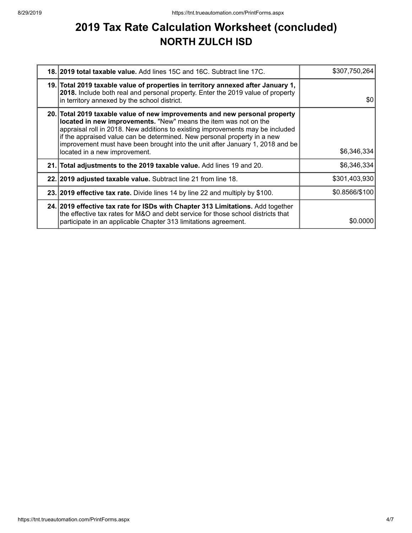## **2019 Tax Rate Calculation Worksheet (concluded) NORTH ZULCH ISD**

| <b>18. 2019 total taxable value.</b> Add lines 15C and 16C. Subtract line 17C.                                                                                                                                                                                                                                                                                                                                                 | \$307,750,264  |
|--------------------------------------------------------------------------------------------------------------------------------------------------------------------------------------------------------------------------------------------------------------------------------------------------------------------------------------------------------------------------------------------------------------------------------|----------------|
| 19. Total 2019 taxable value of properties in territory annexed after January 1,<br>2018. Include both real and personal property. Enter the 2019 value of property<br>in territory annexed by the school district.                                                                                                                                                                                                            | \$0            |
| 20. Total 2019 taxable value of new improvements and new personal property<br>located in new improvements. "New" means the item was not on the<br>appraisal roll in 2018. New additions to existing improvements may be included<br>if the appraised value can be determined. New personal property in a new<br>improvement must have been brought into the unit after January 1, 2018 and be<br>located in a new improvement. | \$6,346,334    |
| 21. Total adjustments to the 2019 taxable value. Add lines 19 and 20.                                                                                                                                                                                                                                                                                                                                                          | \$6,346,334    |
| 22. 2019 adjusted taxable value. Subtract line 21 from line 18.                                                                                                                                                                                                                                                                                                                                                                | \$301,403,930  |
| 23. 2019 effective tax rate. Divide lines 14 by line 22 and multiply by \$100.                                                                                                                                                                                                                                                                                                                                                 | \$0.8566/\$100 |
| 24. 2019 effective tax rate for ISDs with Chapter 313 Limitations. Add together<br>the effective tax rates for M&O and debt service for those school districts that<br>participate in an applicable Chapter 313 limitations agreement.                                                                                                                                                                                         | \$0,0000       |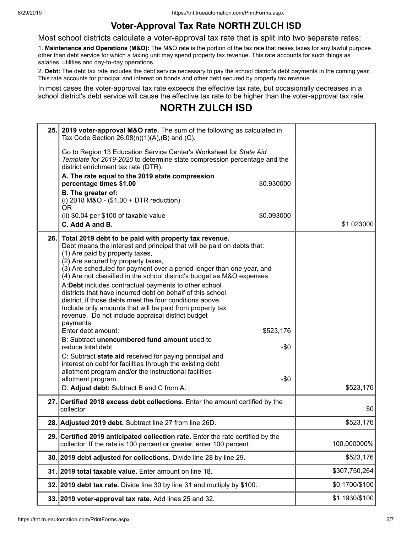### **Voter-Approval Tax Rate NORTH ZULCH ISD**

Most school districts calculate a voter-approval tax rate that is split into two separate rates:

1. **Maintenance and Operations (M&O):** The M&O rate is the portion of the tax rate that raises taxes for any lawful purpose other than debt service for which a taxing unit may spend property tax revenue. This rate accounts for such things as salaries, utilities and day-to-day operations.

2. **Debt:** The debt tax rate includes the debt service necessary to pay the school district's debt payments in the coming year. This rate accounts for principal and interest on bonds and other debt secured by property tax revenue.

In most cases the voter-approval tax rate exceeds the effective tax rate, but occasionally decreases in a school district's debt service will cause the effective tax rate to be higher than the voter-approval tax rate.

## **NORTH ZULCH ISD**

| 25.1 | 2019 voter-approval M&O rate. The sum of the following as calculated in<br>Tax Code Section $26.08(n)(1)(A),(B)$ and (C).                                                                                                                                                                                                                                                                                                                                                                                                                                                                                                                                                                                                                                                                                                                                                                                                                                                                                     |                |
|------|---------------------------------------------------------------------------------------------------------------------------------------------------------------------------------------------------------------------------------------------------------------------------------------------------------------------------------------------------------------------------------------------------------------------------------------------------------------------------------------------------------------------------------------------------------------------------------------------------------------------------------------------------------------------------------------------------------------------------------------------------------------------------------------------------------------------------------------------------------------------------------------------------------------------------------------------------------------------------------------------------------------|----------------|
|      | Go to Region 13 Education Service Center's Worksheet for State Aid<br>Template for 2019-2020 to determine state compression percentage and the<br>district enrichment tax rate (DTR).                                                                                                                                                                                                                                                                                                                                                                                                                                                                                                                                                                                                                                                                                                                                                                                                                         |                |
|      | A. The rate equal to the 2019 state compression<br>percentage times \$1.00<br>\$0.930000                                                                                                                                                                                                                                                                                                                                                                                                                                                                                                                                                                                                                                                                                                                                                                                                                                                                                                                      |                |
|      | B. The greater of:<br>(i) 2018 M&O - (\$1.00 + DTR reduction)<br>0R                                                                                                                                                                                                                                                                                                                                                                                                                                                                                                                                                                                                                                                                                                                                                                                                                                                                                                                                           |                |
|      | \$0.093000<br>(ii) \$0.04 per \$100 of taxable value                                                                                                                                                                                                                                                                                                                                                                                                                                                                                                                                                                                                                                                                                                                                                                                                                                                                                                                                                          |                |
|      | C. Add A and B.                                                                                                                                                                                                                                                                                                                                                                                                                                                                                                                                                                                                                                                                                                                                                                                                                                                                                                                                                                                               | \$1.023000     |
| 26.1 | Total 2019 debt to be paid with property tax revenue.<br>Debt means the interest and principal that will be paid on debts that:<br>(1) Are paid by property taxes,<br>(2) Are secured by property taxes,<br>(3) Are scheduled for payment over a period longer than one year, and<br>(4) Are not classified in the school district's budget as M&O expenses.<br>A:Debt includes contractual payments to other school<br>districts that have incurred debt on behalf of this school<br>district, if those debts meet the four conditions above.<br>Include only amounts that will be paid from property tax<br>revenue. Do not include appraisal district budget<br>payments.<br>Enter debt amount:<br>\$523,176<br>B: Subtract unencumbered fund amount used to<br>reduce total debt.<br>-\$0<br>C: Subtract state aid received for paying principal and<br>interest on debt for facilities through the existing debt<br>allotment program and/or the instructional facilities<br>$-50$<br>allotment program. |                |
|      | D: Adjust debt: Subtract B and C from A.                                                                                                                                                                                                                                                                                                                                                                                                                                                                                                                                                                                                                                                                                                                                                                                                                                                                                                                                                                      | \$523,176      |
|      | 27. Certified 2018 excess debt collections. Enter the amount certified by the<br>collector.                                                                                                                                                                                                                                                                                                                                                                                                                                                                                                                                                                                                                                                                                                                                                                                                                                                                                                                   | \$0            |
|      | 28. Adjusted 2019 debt. Subtract line 27 from line 26D.                                                                                                                                                                                                                                                                                                                                                                                                                                                                                                                                                                                                                                                                                                                                                                                                                                                                                                                                                       | \$523,176      |
|      | 29. Certified 2019 anticipated collection rate. Enter the rate certified by the<br>collector. If the rate is 100 percent or greater, enter 100 percent.                                                                                                                                                                                                                                                                                                                                                                                                                                                                                                                                                                                                                                                                                                                                                                                                                                                       | 100.000000%    |
|      | 30. 2019 debt adjusted for collections. Divide line 28 by line 29.                                                                                                                                                                                                                                                                                                                                                                                                                                                                                                                                                                                                                                                                                                                                                                                                                                                                                                                                            | \$523,176      |
|      | 31. 2019 total taxable value. Enter amount on line 18.                                                                                                                                                                                                                                                                                                                                                                                                                                                                                                                                                                                                                                                                                                                                                                                                                                                                                                                                                        | \$307,750,264  |
|      | 32. 2019 debt tax rate. Divide line 30 by line 31 and multiply by \$100.                                                                                                                                                                                                                                                                                                                                                                                                                                                                                                                                                                                                                                                                                                                                                                                                                                                                                                                                      | \$0.1700/\$100 |
|      | 33. 2019 voter-approval tax rate. Add lines 25 and 32.                                                                                                                                                                                                                                                                                                                                                                                                                                                                                                                                                                                                                                                                                                                                                                                                                                                                                                                                                        | \$1.1930/\$100 |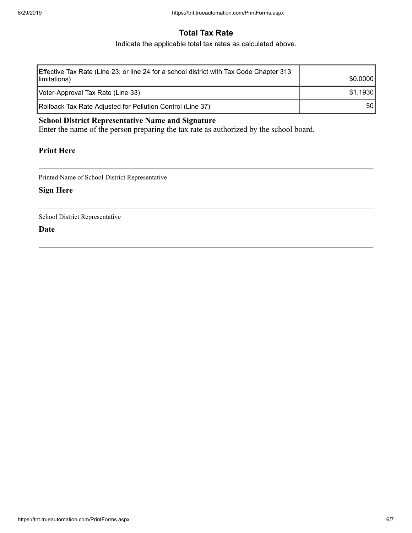### **Total Tax Rate**

Indicate the applicable total tax rates as calculated above.

| Effective Tax Rate (Line 23; or line 24 for a school district with Tax Code Chapter 313<br>limitations) | \$0.0000 |
|---------------------------------------------------------------------------------------------------------|----------|
| Voter-Approval Tax Rate (Line 33)                                                                       | \$1.1930 |
| Rollback Tax Rate Adjusted for Pollution Control (Line 37)                                              | \$0      |

### **School District Representative Name and Signature**

Enter the name of the person preparing the tax rate as authorized by the school board.

#### **Print Here**

Printed Name of School District Representative

#### **Sign Here**

School District Representative

**Date**